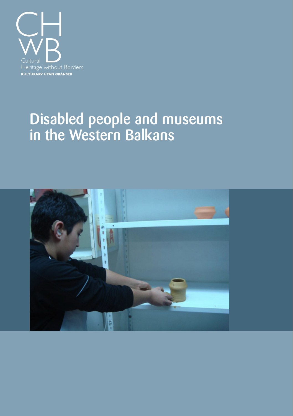

### Disabled people and museums in the Western Balkans

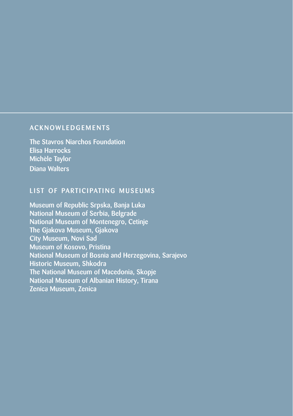#### **ACKNOWLEDGEMENTS**

The Stavros Niarchos Foundation Elisa Harrocks Michèle Taylor Diana Walters

### LIST OF PARTICIPATING MUSEUMS

Museum of Republic Srpska, Banja Luka National Museum of Serbia, Belgrade National Museum of Montenegro, Cetinje The Gjakova Museum, Gjakova City Museum, Novi Sad Museum of Kosovo, Pristina National Museum of Bosnia and Herzegovina, Sarajevo Historic Museum, Shkodra The National Museum of Macedonia, Skopje National Museum of Albanian History, Tirana Zenica Museum, Zenica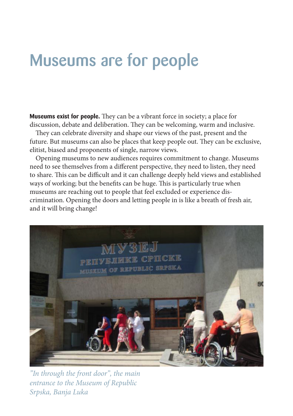## Museums are for people

**Museums exist for people.** They can be a vibrant force in society; a place for discussion, debate and deliberation. They can be welcoming, warm and inclusive.

They can celebrate diversity and shape our views of the past, present and the future. But museums can also be places that keep people out. They can be exclusive, elitist, biased and proponents of single, narrow views.

Opening museums to new audiences requires commitment to change. Museums need to see themselves from a different perspective, they need to listen, they need to share. This can be difficult and it can challenge deeply held views and established ways of working; but the benefits can be huge. This is particularly true when museums are reaching out to people that feel excluded or experience discrimination. Opening the doors and letting people in is like a breath of fresh air, and it will bring change!



*"In through the front door", the main entrance to the Museum of Republic Srpska, Banja Luka*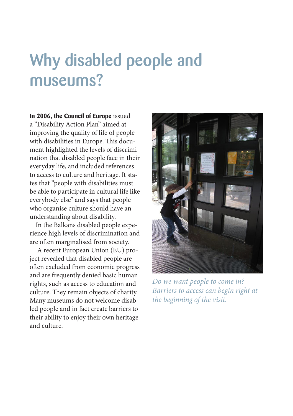## Why disabled people and museums?

**In 2006, the Council of Europe** issued a "Disability Action Plan" aimed at improving the quality of life of people with disabilities in Europe. This document highlighted the levels of discrimination that disabled people face in their everyday life, and included references to access to culture and heritage. It states that "people with disabilities must be able to participate in cultural life like everybody else" and says that people who organise culture should have an understanding about disability.

In the Balkans disabled people experience high levels of discrimination and are often marginalised from society.

 A recent European Union (EU) project revealed that disabled people are often excluded from economic progress and are frequently denied basic human rights, such as access to education and culture. They remain objects of charity. Many museums do not welcome disabled people and in fact create barriers to their ability to enjoy their own heritage and culture.



*Do we want people to come in? Barriers to access can begin right at the beginning of the visit.*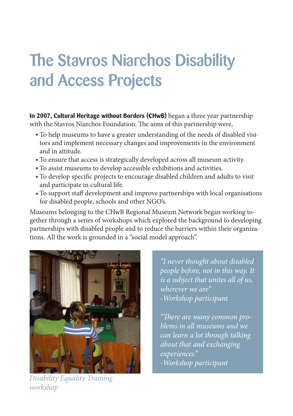# The Stavros Niarchos Disability and Access Projects

**In 2007, Cultural Heritage without Borders (CHwB)** began a three year partnership with the Stavros Niarchos Foundation. The aims of this partnership were,

- To help museums to have a greater understanding of the needs of disabled visi-•tors and implement necessary changes and improvements in the environment and in attitude.
- To ensure that access is strategically developed across all museum activity. •
- To assist museums to develop accessible exhibitions and activities. •
- To develop specific projects to encourage disabled children and adults to visit and participate in cultural life.
- To support staff development and improve partnerships with local organisations for disabled people, schools and other NGO's.

Museums belonging to the CHwB Regional Museum Network began working together through a series of workshops which explored the background to developing partnerships with disabled people and to reduce the barriers within their organizations. All the work is grounded in a "social model approach".



*Disability Equality Training workshop*

*"I never thought about disabled people before, not in this way. It is a subject that unites all of us, wherever we are" -Workshop participant*

*"There are many common problems in all museums and we can learn a lot through talking about that and exchanging experiences." -Workshop participant*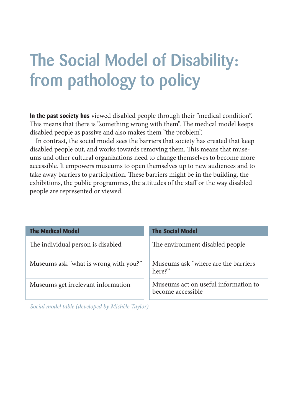## The Social Model of Disability: from pathology to policy

**In the past society has** viewed disabled people through their "medical condition". This means that there is "something wrong with them". The medical model keeps disabled people as passive and also makes them "the problem".

In contrast, the social model sees the barriers that society has created that keep disabled people out, and works towards removing them. This means that museums and other cultural organizations need to change themselves to become more accessible. It empowers museums to open themselves up to new audiences and to take away barriers to participation. These barriers might be in the building, the exhibitions, the public programmes, the attitudes of the staff or the way disabled people are represented or viewed.

| <b>The Medical Model</b>              | <b>The Social Model</b>                                   |
|---------------------------------------|-----------------------------------------------------------|
| The individual person is disabled     | The environment disabled people                           |
| Museums ask "what is wrong with you?" | Museums ask "where are the barriers<br>here?"             |
| Museums get irrelevant information    | Museums act on useful information to<br>become accessible |

*Social model table (developed by Michèle Taylor)*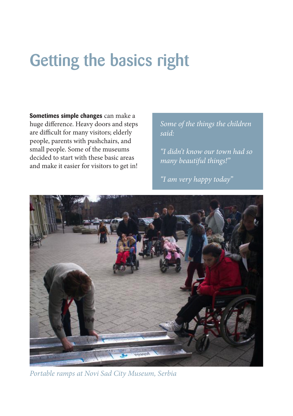## Getting the basics right

**Sometimes simple changes** can make a huge difference. Heavy doors and steps are difficult for many visitors; elderly people, parents with pushchairs, and small people. Some of the museums decided to start with these basic areas and make it easier for visitors to get in!

*Some of the things the children said:*

*"I didn't know our town had so many beautiful things!"*

*"I am very happy today"*



*Portable ramps at Novi Sad City Museum, Serbia*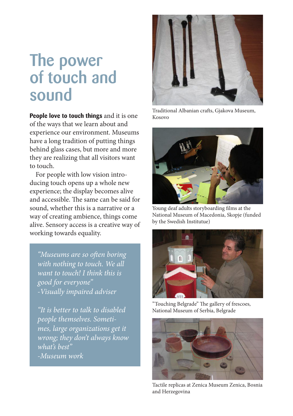### The power of touch and sound

**People love to touch things** and it is one of the ways that we learn about and experience our environment. Museums have a long tradition of putting things behind glass cases, but more and more they are realizing that all visitors want to touch.

For people with low vision introducing touch opens up a whole new experience; the display becomes alive and accessible. The same can be said for sound, whether this is a narrative or a way of creating ambience, things come alive. Sensory access is a creative way of working towards equality.

*"Museums are so often boring with nothing to touch. We all want to touch! I think this is good for everyone" -Visually impaired adviser*

*"It is better to talk to disabled people themselves. Sometimes, large organizations get it wrong; they don't always know what's best" -Museum work*



Traditional Albanian crafts, Gjakova Museum, Kosovo



Young deaf adults storyboarding films at the National Museum of Macedonia, Skopje (funded by the Swedish Institutue)



"Touching Belgrade" The gallery of frescoes, National Museum of Serbia, Belgrade



Tactile replicas at Zenica Museum Zenica, Bosnia and Herzegovina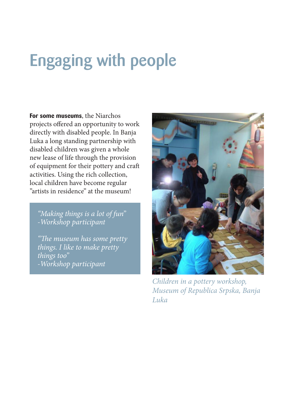## Engaging with people

**For some museums**, the Niarchos projects offered an opportunity to work directly with disabled people. In Banja Luka a long standing partnership with disabled children was given a whole new lease of life through the provision of equipment for their pottery and craft activities. Using the rich collection, local children have become regular "artists in residence" at the museum!

*"Making things is a lot of fun" -Workshop participant*

*"The museum has some pretty things. I like to make pretty things too" -Workshop participant*



*Children in a pottery workshop, Museum of Republica Srpska, Banja Luka*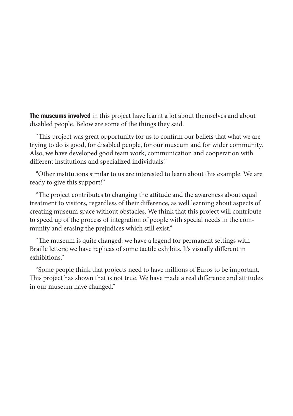**The museums involved** in this project have learnt a lot about themselves and about disabled people. Below are some of the things they said.

"This project was great opportunity for us to confirm our beliefs that what we are trying to do is good, for disabled people, for our museum and for wider community. Also, we have developed good team work, communication and cooperation with different institutions and specialized individuals."

"Other institutions similar to us are interested to learn about this example. We are ready to give this support!"

"The project contributes to changing the attitude and the awareness about equal treatment to visitors, regardless of their difference, as well learning about aspects of creating museum space without obstacles. We think that this project will contribute to speed up of the process of integration of people with special needs in the community and erasing the prejudices which still exist."

"The museum is quite changed: we have a legend for permanent settings with Braille letters; we have replicas of some tactile exhibits. It's visually different in exhibitions."

"Some people think that projects need to have millions of Euros to be important. This project has shown that is not true. We have made a real difference and attitudes in our museum have changed."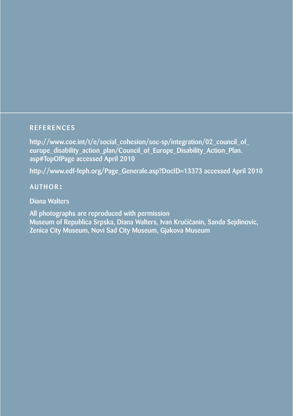#### **REFERENCES**

http://www.coe.int/t/e/social\_cohesion/soc-sp/integration/02\_council\_of europe\_disability\_action\_plan/Council\_of\_Europe\_Disability\_Action\_Plan. asp#TopOfPage accessed April 2010

http://www.edf-feph.org/Page\_Generale.asp?DocID=13373 accessed April 2010

### author:

Diana Walters

All photographs are reproduced with permission Museum of Republica Srpska, Diana Walters, Ivan Kručičanin, Sanda Sejdinovic, Zenica City Museum, Novi Sad City Museum, Gjakova Museum